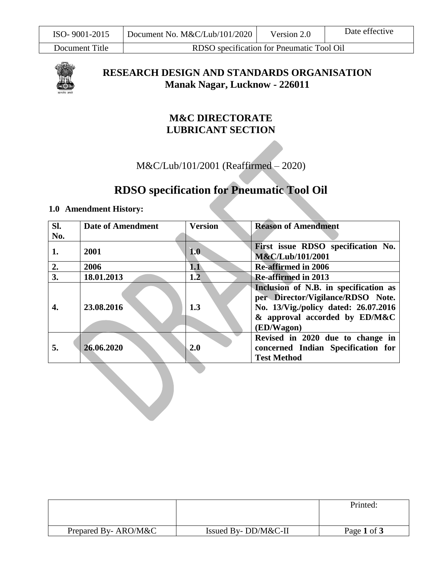Document Title RDSO specification for Pneumatic Tool Oil



**RESEARCH DESIGN AND STANDARDS ORGANISATION Manak Nagar, Lucknow - 226011**

# **M&C DIRECTORATE LUBRICANT SECTION**

M&C/Lub/101/2001 (Reaffirmed – 2020)

# **RDSO specification for Pneumatic Tool Oil**

### **1.0 Amendment History:**

| SI. | <b>Date of Amendment</b> | <b>Version</b> | <b>Reason of Amendment</b>                                                |
|-----|--------------------------|----------------|---------------------------------------------------------------------------|
| No. |                          |                |                                                                           |
| 1.  | 2001                     | 1.0            | First issue RDSO specification No.                                        |
|     |                          |                | M&C/Lub/101/2001                                                          |
| 2.  | 2006                     | 1.1            | <b>Re-affirmed in 2006</b>                                                |
| 3.  | 18.01.2013               | 1.2            | <b>Re-affirmed in 2013</b>                                                |
|     |                          |                | Inclusion of N.B. in specification as                                     |
|     | 23.08.2016               | 1.3            | per Director/Vigilance/RDSO Note.<br>No. 13/Vig./policy dated: 26.07.2016 |
|     |                          |                | $\&$ approval accorded by ED/M&C<br>(ED/Wagon)                            |
|     |                          |                |                                                                           |
|     |                          |                | Revised in 2020 due to change in                                          |
| 5.  | 26.06.2020               | 2.0            | concerned Indian Specification for                                        |
|     |                          |                | <b>Test Method</b>                                                        |

|                     |                     | Printed:    |
|---------------------|---------------------|-------------|
| Prepared By-ARO/M&C | Issued By-DD/M&C-II | Page 1 of 3 |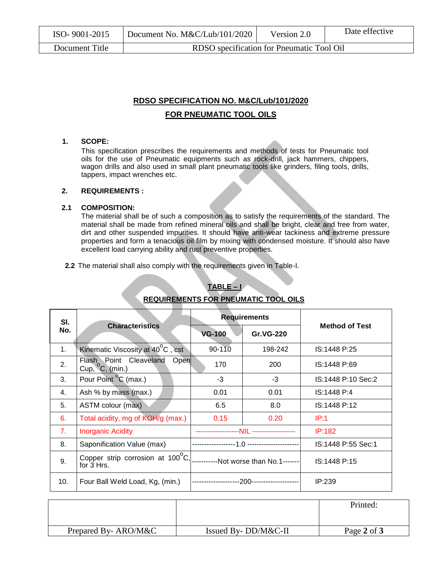| ISO-9001-2015  | Document No. $M\&C/Lub/101/2020$          | Version 2.0 | Date effective |
|----------------|-------------------------------------------|-------------|----------------|
| Document Title | RDSO specification for Pneumatic Tool Oil |             |                |

## **RDSO SPECIFICATION NO. M&C/Lub/101/2020 FOR PNEUMATIC TOOL OILS**

### **1. SCOPE:**

This specification prescribes the requirements and methods of tests for Pneumatic tool oils for the use of Pneumatic equipments such as rock-drill, jack hammers, chippers, wagon drills and also used in small plant pneumatic tools like grinders, filing tools, drills, tappers, impact wrenches etc.

### **2. REQUIREMENTS :**

### **2.1 COMPOSITION:**

The material shall be of such a composition as to satisfy the requirements of the standard. The material shall be made from refined mineral oils and shall be bright, clear and free from water, dirt and other suspended impurities. It should have anti-wear tackiness and extreme pressure properties and form a tenacious oil film by mixing with condensed moisture. It should also have excellent load carrying ability and rust preventive properties.

**2.2** The material shall also comply with the requirements given in Table-I.

| SI. | <b>Characteristics</b>                                                              | <b>Requirements</b> |                  |                       |
|-----|-------------------------------------------------------------------------------------|---------------------|------------------|-----------------------|
| No. |                                                                                     | <b>VG-100</b>       | <b>Gr.VG-220</b> | <b>Method of Test</b> |
| 1.  | Kinematic Viscosity at 40°C, cst                                                    | 90-110              | 198-242          | IS:1448 P:25          |
| 2.  | Flash Point Cleaveland<br>Open<br>Cup, $^{\circ}$ C, (min.)                         | 170                 | 200              | IS:1448 P:69          |
| 3.  | Pour Point <sup>o</sup> C (max.)                                                    | $-3$                | $-3$             | IS:1448 P:10 Sec:2    |
| 4.  | Ash % by mass (max.)                                                                | 0.01                | 0.01             | IS:1448 P:4           |
| 5.  | ASTM colour (max)                                                                   | 6.5                 | 8.0              | IS:1448 P:12          |
| 6.  | Total acidity, mg of KOH/g (max.)                                                   | 0.15                | 0.20             | IP:1                  |
| 7.  | <b>Inorganic Acidity</b>                                                            |                     |                  | IP:182                |
| 8.  | Saponification Value (max)                                                          |                     |                  | IS:1448 P:55 Sec:1    |
| 9.  | Copper strip corrosion at 100°C, __________Not worse than No.1-------<br>for 3 Hrs. |                     |                  | IS:1448 P:15          |
| 10. | Four Ball Weld Load, Kg, (min.)                                                     |                     |                  | IP:239                |

### **TABLE – I REQUIREMENTS FOR PNEUMATIC TOOL OILS**

|                     |                          | Printed:    |
|---------------------|--------------------------|-------------|
| Prepared By-ARO/M&C | Issued By- $DD/M\&C$ -II | Page 2 of 3 |